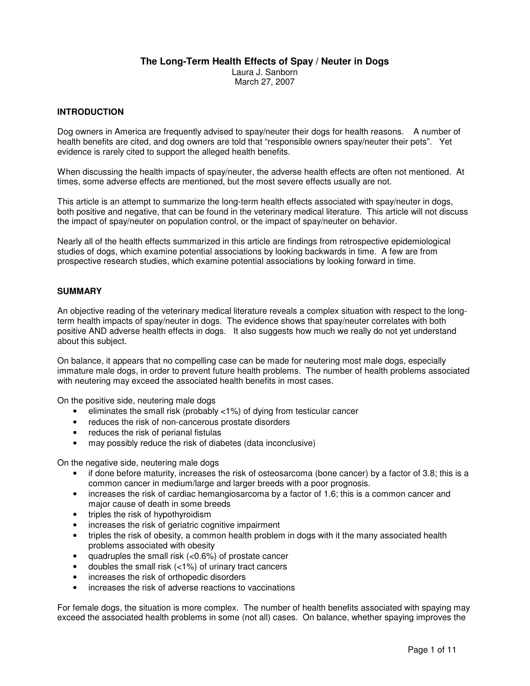## **The Long-Term Health Effects of Spay / Neuter in Dogs**

Laura J. Sanborn March 27, 2007

# **INTRODUCTION**

Dog owners in America are frequently advised to spay/neuter their dogs for health reasons. A number of health benefits are cited, and dog owners are told that "responsible owners spay/neuter their pets". Yet evidence is rarely cited to support the alleged health benefits.

When discussing the health impacts of spay/neuter, the adverse health effects are often not mentioned. At times, some adverse effects are mentioned, but the most severe effects usually are not.

This article is an attempt to summarize the long-term health effects associated with spay/neuter in dogs, both positive and negative, that can be found in the veterinary medical literature. This article will not discuss the impact of spay/neuter on population control, or the impact of spay/neuter on behavior.

Nearly all of the health effects summarized in this article are findings from retrospective epidemiological studies of dogs, which examine potential associations by looking backwards in time. A few are from prospective research studies, which examine potential associations by looking forward in time.

## **SUMMARY**

An objective reading of the veterinary medical literature reveals a complex situation with respect to the longterm health impacts of spay/neuter in dogs. The evidence shows that spay/neuter correlates with both positive AND adverse health effects in dogs. It also suggests how much we really do not yet understand about this subject.

On balance, it appears that no compelling case can be made for neutering most male dogs, especially immature male dogs, in order to prevent future health problems. The number of health problems associated with neutering may exceed the associated health benefits in most cases.

On the positive side, neutering male dogs

- eliminates the small risk (probably <1%) of dying from testicular cancer
- reduces the risk of non-cancerous prostate disorders
- reduces the risk of perianal fistulas
- may possibly reduce the risk of diabetes (data inconclusive)

On the negative side, neutering male dogs

- if done before maturity, increases the risk of osteosarcoma (bone cancer) by a factor of 3.8; this is a common cancer in medium/large and larger breeds with a poor prognosis.
- increases the risk of cardiac hemangiosarcoma by a factor of 1.6; this is a common cancer and major cause of death in some breeds
- triples the risk of hypothyroidism
- increases the risk of geriatric cognitive impairment
- triples the risk of obesity, a common health problem in dogs with it the many associated health problems associated with obesity
- quadruples the small risk (<0.6%) of prostate cancer
- doubles the small risk  $\left($  < 1%) of urinary tract cancers
- increases the risk of orthopedic disorders
- increases the risk of adverse reactions to vaccinations

For female dogs, the situation is more complex. The number of health benefits associated with spaying may exceed the associated health problems in some (not all) cases. On balance, whether spaying improves the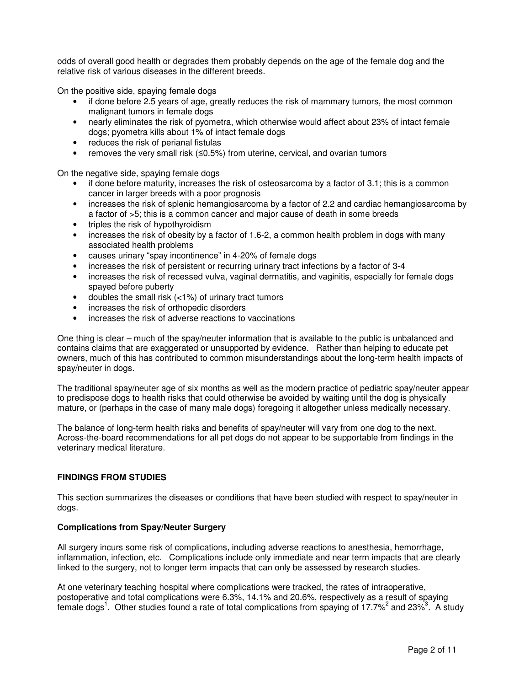odds of overall good health or degrades them probably depends on the age of the female dog and the relative risk of various diseases in the different breeds.

On the positive side, spaying female dogs

- if done before 2.5 years of age, greatly reduces the risk of mammary tumors, the most common malignant tumors in female dogs
- nearly eliminates the risk of pyometra, which otherwise would affect about 23% of intact female dogs; pyometra kills about 1% of intact female dogs
- reduces the risk of perianal fistulas
- removes the very small risk  $(≤0.5%)$  from uterine, cervical, and ovarian tumors

On the negative side, spaying female dogs

- if done before maturity, increases the risk of osteosarcoma by a factor of 3.1; this is a common cancer in larger breeds with a poor prognosis
- increases the risk of splenic hemangiosarcoma by a factor of 2.2 and cardiac hemangiosarcoma by a factor of >5; this is a common cancer and major cause of death in some breeds
- triples the risk of hypothyroidism
- increases the risk of obesity by a factor of 1.6-2, a common health problem in dogs with many associated health problems
- causes urinary "spay incontinence" in 4-20% of female dogs
- increases the risk of persistent or recurring urinary tract infections by a factor of 3-4
- increases the risk of recessed vulva, vaginal dermatitis, and vaginitis, especially for female dogs spayed before puberty
- doubles the small risk  $\left($  < 1%) of urinary tract tumors
- increases the risk of orthopedic disorders
- increases the risk of adverse reactions to vaccinations

One thing is clear – much of the spay/neuter information that is available to the public is unbalanced and contains claims that are exaggerated or unsupported by evidence. Rather than helping to educate pet owners, much of this has contributed to common misunderstandings about the long-term health impacts of spay/neuter in dogs.

The traditional spay/neuter age of six months as well as the modern practice of pediatric spay/neuter appear to predispose dogs to health risks that could otherwise be avoided by waiting until the dog is physically mature, or (perhaps in the case of many male dogs) foregoing it altogether unless medically necessary.

The balance of long-term health risks and benefits of spay/neuter will vary from one dog to the next. Across-the-board recommendations for all pet dogs do not appear to be supportable from findings in the veterinary medical literature.

## **FINDINGS FROM STUDIES**

This section summarizes the diseases or conditions that have been studied with respect to spay/neuter in dogs.

## **Complications from Spay/Neuter Surgery**

All surgery incurs some risk of complications, including adverse reactions to anesthesia, hemorrhage, inflammation, infection, etc. Complications include only immediate and near term impacts that are clearly linked to the surgery, not to longer term impacts that can only be assessed by research studies.

At one veterinary teaching hospital where complications were tracked, the rates of intraoperative, postoperative and total complications were 6.3%, 14.1% and 20.6%, respectively as a result of spaying female dogs<sup>1</sup>. Other studies found a rate of total complications from spaying of 17.7%<sup>2</sup> and 23%<sup>3</sup>. A study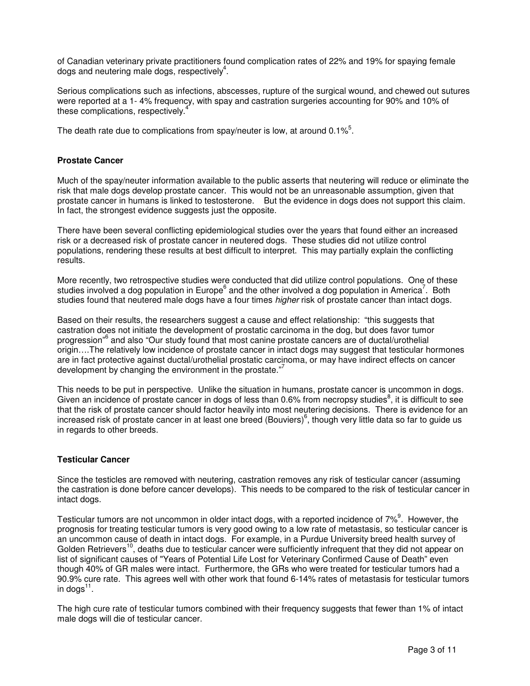of Canadian veterinary private practitioners found complication rates of 22% and 19% for spaying female dogs and neutering male dogs, respectively $4$ .

Serious complications such as infections, abscesses, rupture of the surgical wound, and chewed out sutures were reported at a 1- 4% frequency, with spay and castration surgeries accounting for 90% and 10% of these complications, respectively.<sup>4</sup>

The death rate due to complications from spay/neuter is low, at around 0.1% $5$ .

## **Prostate Cancer**

Much of the spay/neuter information available to the public asserts that neutering will reduce or eliminate the risk that male dogs develop prostate cancer. This would not be an unreasonable assumption, given that prostate cancer in humans is linked to testosterone. But the evidence in dogs does not support this claim. In fact, the strongest evidence suggests just the opposite.

There have been several conflicting epidemiological studies over the years that found either an increased risk or a decreased risk of prostate cancer in neutered dogs. These studies did not utilize control populations, rendering these results at best difficult to interpret. This may partially explain the conflicting results.

More recently, two retrospective studies were conducted that did utilize control populations. One of these studies involved a dog population in Europe<sup>6</sup> and the other involved a dog population in America<sup>7</sup>. Both studies found that neutered male dogs have a four times *higher* risk of prostate cancer than intact dogs.

Based on their results, the researchers suggest a cause and effect relationship: "this suggests that castration does not initiate the development of prostatic carcinoma in the dog, but does favor tumor progression"<sup>6</sup> and also "Our study found that most canine prostate cancers are of ductal/urothelial origin….The relatively low incidence of prostate cancer in intact dogs may suggest that testicular hormones are in fact protective against ductal/urothelial prostatic carcinoma, or may have indirect effects on cancer development by changing the environment in the prostate."

This needs to be put in perspective. Unlike the situation in humans, prostate cancer is uncommon in dogs. Given an incidence of prostate cancer in dogs of less than 0.6% from necropsy studies<sup>8</sup>, it is difficult to see that the risk of prostate cancer should factor heavily into most neutering decisions. There is evidence for an increased risk of prostate cancer in at least one breed (Bouviers)<sup>6</sup>, though very little data so far to guide us in regards to other breeds.

# **Testicular Cancer**

Since the testicles are removed with neutering, castration removes any risk of testicular cancer (assuming the castration is done before cancer develops). This needs to be compared to the risk of testicular cancer in intact dogs.

Testicular tumors are not uncommon in older intact dogs, with a reported incidence of 7%<sup>9</sup>. However, the prognosis for treating testicular tumors is very good owing to a low rate of metastasis, so testicular cancer is an uncommon cause of death in intact dogs. For example, in a Purdue University breed health survey of Golden Retrievers<sup>10</sup>, deaths due to testicular cancer were sufficiently infrequent that they did not appear on list of significant causes of "Years of Potential Life Lost for Veterinary Confirmed Cause of Death" even though 40% of GR males were intact. Furthermore, the GRs who were treated for testicular tumors had a 90.9% cure rate. This agrees well with other work that found 6-14% rates of metastasis for testicular tumors in dogs $^{11}$ .

The high cure rate of testicular tumors combined with their frequency suggests that fewer than 1% of intact male dogs will die of testicular cancer.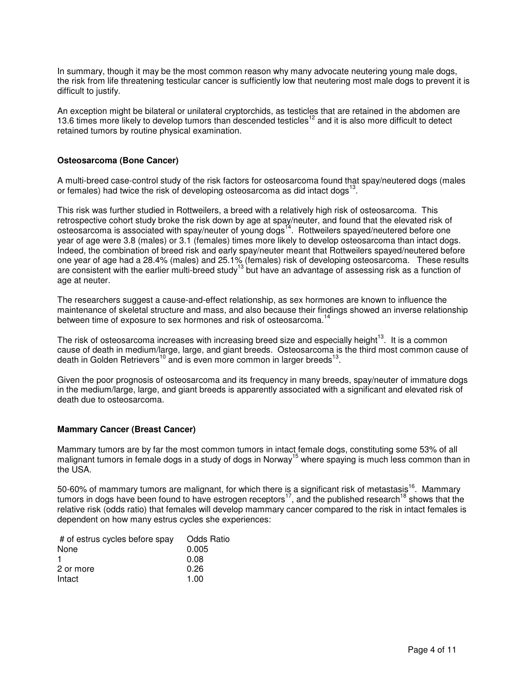In summary, though it may be the most common reason why many advocate neutering young male dogs, the risk from life threatening testicular cancer is sufficiently low that neutering most male dogs to prevent it is difficult to justify.

An exception might be bilateral or unilateral cryptorchids, as testicles that are retained in the abdomen are 13.6 times more likely to develop tumors than descended testicles<sup>12</sup> and it is also more difficult to detect retained tumors by routine physical examination.

## **Osteosarcoma (Bone Cancer)**

A multi-breed case-control study of the risk factors for osteosarcoma found that spay/neutered dogs (males or females) had twice the risk of developing osteosarcoma as did intact dogs $^{13}$ .

This risk was further studied in Rottweilers, a breed with a relatively high risk of osteosarcoma. This retrospective cohort study broke the risk down by age at spay/neuter, and found that the elevated risk of osteosarcoma is associated with spay/neuter of young dogs<sup>14</sup>. Rottweilers spayed/neutered before one year of age were 3.8 (males) or 3.1 (females) times more likely to develop osteosarcoma than intact dogs. Indeed, the combination of breed risk and early spay/neuter meant that Rottweilers spayed/neutered before one year of age had a 28.4% (males) and 25.1% (females) risk of developing osteosarcoma. These results are consistent with the earlier multi-breed study<sup>13</sup> but have an advantage of assessing risk as a function of age at neuter.

The researchers suggest a cause-and-effect relationship, as sex hormones are known to influence the maintenance of skeletal structure and mass, and also because their findings showed an inverse relationship between time of exposure to sex hormones and risk of osteosarcoma.<sup>14</sup>

The risk of osteosarcoma increases with increasing breed size and especially height<sup>13</sup>. It is a common cause of death in medium/large, large, and giant breeds. Osteosarcoma is the third most common cause of death in Golden Retrievers<sup>10</sup> and is even more common in larger breeds<sup>13</sup>.

Given the poor prognosis of osteosarcoma and its frequency in many breeds, spay/neuter of immature dogs in the medium/large, large, and giant breeds is apparently associated with a significant and elevated risk of death due to osteosarcoma.

## **Mammary Cancer (Breast Cancer)**

Mammary tumors are by far the most common tumors in intact female dogs, constituting some 53% of all malignant tumors in female dogs in a study of dogs in Norway<sup>15</sup> where spaying is much less common than in the USA.

50-60% of mammary tumors are malignant, for which there is a significant risk of metastasis<sup>16</sup>. Mammary tumors in dogs have been found to have estrogen receptors<sup>17</sup>, and the published research<sup>18</sup> shows that the relative risk (odds ratio) that females will develop mammary cancer compared to the risk in intact females is dependent on how many estrus cycles she experiences:

| # of estrus cycles before spay | Odds Ratio |
|--------------------------------|------------|
| None                           | 0.005      |
|                                | 0.08       |
| 2 or more                      | 0.26       |
| Intact                         | 1.00       |
|                                |            |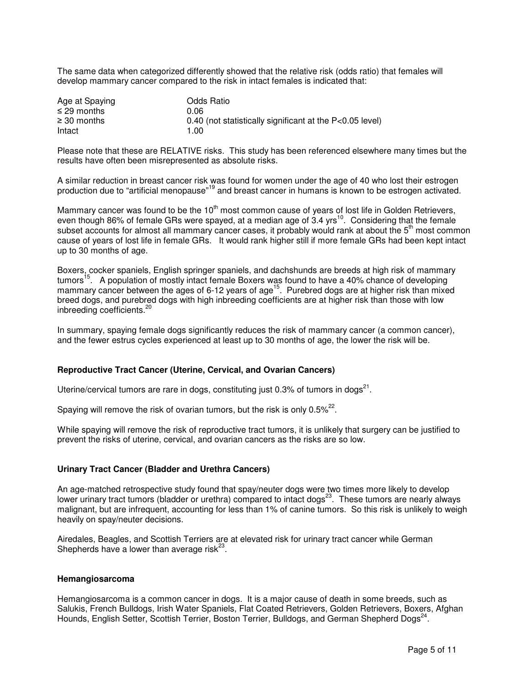The same data when categorized differently showed that the relative risk (odds ratio) that females will develop mammary cancer compared to the risk in intact females is indicated that:

| Age at Spaying   | Odds Ratio                                                 |
|------------------|------------------------------------------------------------|
| $\leq$ 29 months | 0 QR                                                       |
| $\geq$ 30 months | 0.40 (not statistically significant at the $P<0.05$ level) |
| Intact           | 1.00                                                       |

Please note that these are RELATIVE risks. This study has been referenced elsewhere many times but the results have often been misrepresented as absolute risks.

A similar reduction in breast cancer risk was found for women under the age of 40 who lost their estrogen production due to "artificial menopause"<sup>19</sup> and breast cancer in humans is known to be estrogen activated.

Mammary cancer was found to be the  $10<sup>th</sup>$  most common cause of years of lost life in Golden Retrievers, even though 86% of female GRs were spayed, at a median age of  $3.4$  yrs<sup>10</sup>. Considering that the female subset accounts for almost all mammary cancer cases, it probably would rank at about the  $5<sup>th</sup>$  most common cause of years of lost life in female GRs. It would rank higher still if more female GRs had been kept intact up to 30 months of age.

Boxers, cocker spaniels, English springer spaniels, and dachshunds are breeds at high risk of mammary tumors<sup>15</sup>. A population of mostly intact female Boxers was found to have a 40% chance of developing mammary cancer between the ages of 6-12 years of age<sup>15</sup>. Purebred dogs are at higher risk than mixed breed dogs, and purebred dogs with high inbreeding coefficients are at higher risk than those with low inbreeding coefficients.<sup>2</sup>

In summary, spaying female dogs significantly reduces the risk of mammary cancer (a common cancer), and the fewer estrus cycles experienced at least up to 30 months of age, the lower the risk will be.

## **Reproductive Tract Cancer (Uterine, Cervical, and Ovarian Cancers)**

Uterine/cervical tumors are rare in dogs, constituting just 0.3% of tumors in dogs<sup>21</sup>.

Spaying will remove the risk of ovarian tumors, but the risk is only 0.5% $^{22}$ .

While spaying will remove the risk of reproductive tract tumors, it is unlikely that surgery can be justified to prevent the risks of uterine, cervical, and ovarian cancers as the risks are so low.

#### **Urinary Tract Cancer (Bladder and Urethra Cancers)**

An age-matched retrospective study found that spay/neuter dogs were two times more likely to develop lower urinary tract tumors (bladder or urethra) compared to intact dogs<sup>23</sup>. These tumors are nearly always malignant, but are infrequent, accounting for less than 1% of canine tumors. So this risk is unlikely to weigh heavily on spay/neuter decisions.

Airedales, Beagles, and Scottish Terriers are at elevated risk for urinary tract cancer while German Shepherds have a lower than average risk $^{23}$ .

### **Hemangiosarcoma**

Hemangiosarcoma is a common cancer in dogs. It is a major cause of death in some breeds, such as Salukis, French Bulldogs, Irish Water Spaniels, Flat Coated Retrievers, Golden Retrievers, Boxers, Afghan Hounds, English Setter, Scottish Terrier, Boston Terrier, Bulldogs, and German Shepherd Dogs<sup>24</sup>.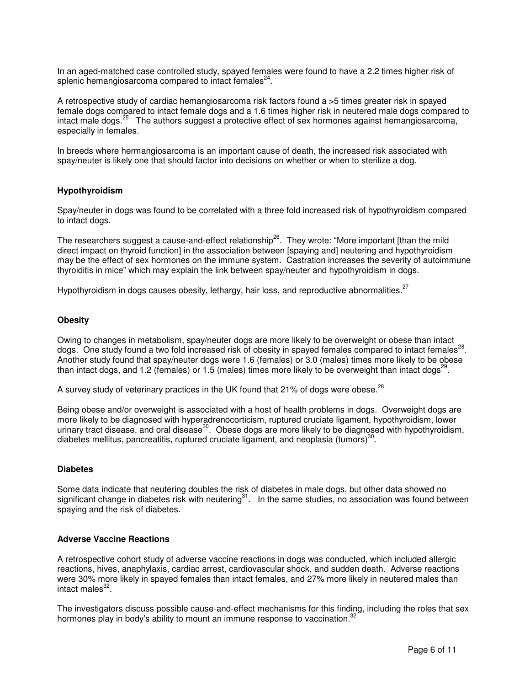In an aged-matched case controlled study, spayed females were found to have a 2.2 times higher risk of splenic hemangiosarcoma compared to intact females $^{24}$ .

A retrospective study of cardiac hemangiosarcoma risk factors found a >5 times greater risk in spayed female dogs compared to intact female dogs and a 1.6 times higher risk in neutered male dogs compared to intact male dogs.<sup>25</sup> The authors suggest a protective effect of sex hormones against hemangiosarcoma, especially in females.

In breeds where hermangiosarcoma is an important cause of death, the increased risk associated with spay/neuter is likely one that should factor into decisions on whether or when to sterilize a dog.

## **Hypothyroidism**

Spay/neuter in dogs was found to be correlated with a three fold increased risk of hypothyroidism compared to intact dogs.

The researchers suggest a cause-and-effect relationship<sup>26</sup>. They wrote: "More important [than the mild direct impact on thyroid function] in the association between [spaying and] neutering and hypothyroidism may be the effect of sex hormones on the immune system. Castration increases the severity of autoimmune thyroiditis in mice" which may explain the link between spay/neuter and hypothyroidism in dogs.

Hypothyroidism in dogs causes obesity, lethargy, hair loss, and reproductive abnormalities.<sup>27</sup>

#### **Obesity**

Owing to changes in metabolism, spay/neuter dogs are more likely to be overweight or obese than intact dogs. One study found a two fold increased risk of obesity in spayed females compared to intact females<sup>28</sup>. Another study found that spay/neuter dogs were 1.6 (females) or 3.0 (males) times more likely to be obese than intact dogs, and 1.2 (females) or 1.5 (males) times more likely to be overweight than intact dogs<sup>29</sup>.

A survey study of veterinary practices in the UK found that 21% of dogs were obese.<sup>28</sup>

Being obese and/or overweight is associated with a host of health problems in dogs. Overweight dogs are more likely to be diagnosed with hyperadrenocorticism, ruptured cruciate ligament, hypothyroidism, lower urinary tract disease, and oral disease<sup>30</sup>. Obese dogs are more likely to be diagnosed with hypothyroidism, diabetes mellitus, pancreatitis, ruptured cruciate ligament, and neoplasia (tumors) $30$ .

### **Diabetes**

Some data indicate that neutering doubles the risk of diabetes in male dogs, but other data showed no significant change in diabetes risk with neutering<sup>31</sup>. In the same studies, no association was found between spaying and the risk of diabetes.

#### **Adverse Vaccine Reactions**

A retrospective cohort study of adverse vaccine reactions in dogs was conducted, which included allergic reactions, hives, anaphylaxis, cardiac arrest, cardiovascular shock, and sudden death. Adverse reactions were 30% more likely in spayed females than intact females, and 27% more likely in neutered males than intact males<sup>32</sup>.

The investigators discuss possible cause-and-effect mechanisms for this finding, including the roles that sex hormones play in body's ability to mount an immune response to vaccination.<sup>32</sup>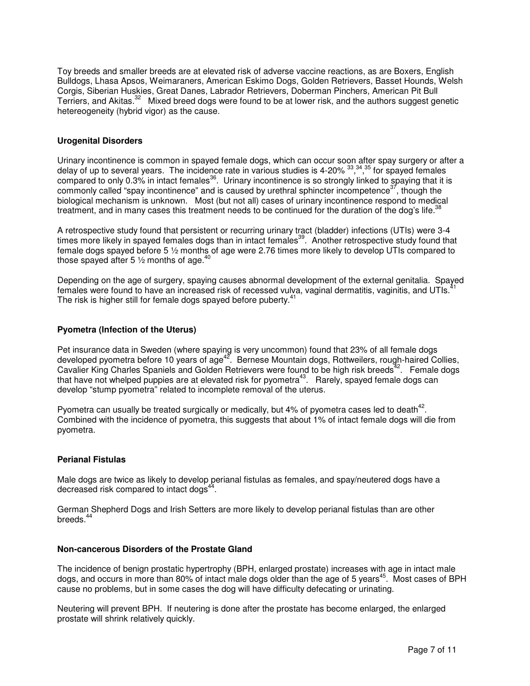Toy breeds and smaller breeds are at elevated risk of adverse vaccine reactions, as are Boxers, English Bulldogs, Lhasa Apsos, Weimaraners, American Eskimo Dogs, Golden Retrievers, Basset Hounds, Welsh Corgis, Siberian Huskies, Great Danes, Labrador Retrievers, Doberman Pinchers, American Pit Bull Terriers, and Akitas.<sup>32</sup> Mixed breed dogs were found to be at lower risk, and the authors suggest genetic hetereogeneity (hybrid vigor) as the cause.

## **Urogenital Disorders**

Urinary incontinence is common in spayed female dogs, which can occur soon after spay surgery or after a delay of up to several years. The incidence rate in various studies is 4-20% 33,34,35 for spayed females compared to only 0.3% in intact females<sup>36</sup>. Urinary incontinence is so strongly linked to spaying that it is commonly called "spay incontinence" and is caused by urethral sphincter incompetence $37$ , though the biological mechanism is unknown. Most (but not all) cases of urinary incontinence respond to medical treatment, and in many cases this treatment needs to be continued for the duration of the dog's life.<sup>38</sup>

A retrospective study found that persistent or recurring urinary tract (bladder) infections (UTIs) were 3-4 times more likely in spayed females dogs than in intact females<sup>39</sup>. Another retrospective study found that female dogs spayed before 5 ½ months of age were 2.76 times more likely to develop UTIs compared to those spayed after 5  $\frac{1}{2}$  months of age.<sup>40</sup>

Depending on the age of surgery, spaying causes abnormal development of the external genitalia. Spayed females were found to have an increased risk of recessed vulva, vaginal dermatitis, vaginitis, and UTIs. The risk is higher still for female dogs spayed before puberty.<sup>41</sup>

# **Pyometra (Infection of the Uterus)**

Pet insurance data in Sweden (where spaying is very uncommon) found that 23% of all female dogs developed pyometra before 10 years of age<sup>42</sup>. Bernese Mountain dogs, Rottweilers, rough-haired Collies, Cavalier King Charles Spaniels and Golden Retrievers were found to be high risk breeds<sup>42</sup>. Female dogs that have not whelped puppies are at elevated risk for pyometra<sup>43</sup>. Rarely, spayed female dogs can develop "stump pyometra" related to incomplete removal of the uterus.

Pyometra can usually be treated surgically or medically, but 4% of pyometra cases led to death $42$ . Combined with the incidence of pyometra, this suggests that about 1% of intact female dogs will die from pyometra.

## **Perianal Fistulas**

Male dogs are twice as likely to develop perianal fistulas as females, and spay/neutered dogs have a decreased risk compared to intact dogs<sup>44</sup>.

German Shepherd Dogs and Irish Setters are more likely to develop perianal fistulas than are other breeds. $4$ 

#### **Non-cancerous Disorders of the Prostate Gland**

The incidence of benign prostatic hypertrophy (BPH, enlarged prostate) increases with age in intact male dogs, and occurs in more than 80% of intact male dogs older than the age of 5 years<sup>45</sup>. Most cases of BPH cause no problems, but in some cases the dog will have difficulty defecating or urinating.

Neutering will prevent BPH. If neutering is done after the prostate has become enlarged, the enlarged prostate will shrink relatively quickly.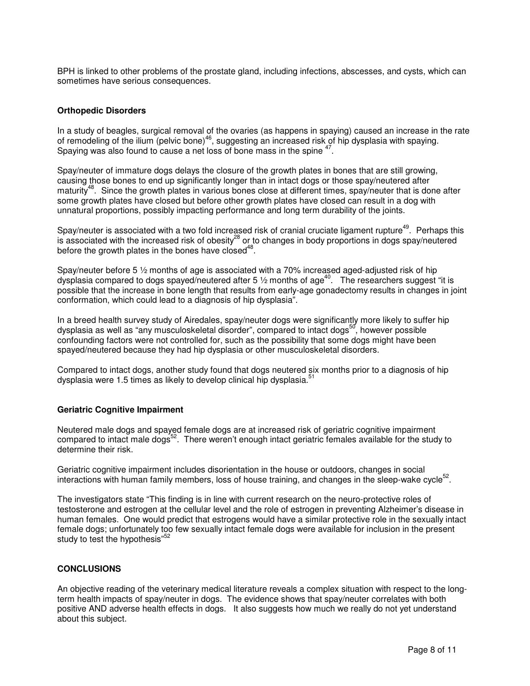BPH is linked to other problems of the prostate gland, including infections, abscesses, and cysts, which can sometimes have serious consequences.

### **Orthopedic Disorders**

In a study of beagles, surgical removal of the ovaries (as happens in spaying) caused an increase in the rate of remodeling of the ilium (pelvic bone)<sup>46</sup>, suggesting an increased risk of hip dysplasia with spaying. Spaying was also found to cause a net loss of bone mass in the spine <sup>47</sup>.

Spay/neuter of immature dogs delays the closure of the growth plates in bones that are still growing, causing those bones to end up significantly longer than in intact dogs or those spay/neutered after maturity<sup>48</sup>. Since the growth plates in various bones close at different times, spay/neuter that is done after some growth plates have closed but before other growth plates have closed can result in a dog with unnatural proportions, possibly impacting performance and long term durability of the joints.

Spay/neuter is associated with a two fold increased risk of cranial cruciate ligament rupture<sup>49</sup>. Perhaps this is associated with the increased risk of obesity<sup>28</sup> or to changes in body proportions in dogs spay/neutered before the growth plates in the bones have closed $48$ .

Spay/neuter before 5 ½ months of age is associated with a 70% increased aged-adjusted risk of hip dysplasia compared to dogs spayed/neutered after 5  $\frac{1}{2}$  months of age<sup>40</sup>. The researchers suggest "it is possible that the increase in bone length that results from early-age gonadectomy results in changes in joint conformation, which could lead to a diagnosis of hip dysplasia".

In a breed health survey study of Airedales, spay/neuter dogs were significantly more likely to suffer hip dysplasia as well as "any musculoskeletal disorder", compared to intact dogs<sup>50</sup>, however possible confounding factors were not controlled for, such as the possibility that some dogs might have been spayed/neutered because they had hip dysplasia or other musculoskeletal disorders.

Compared to intact dogs, another study found that dogs neutered six months prior to a diagnosis of hip dysplasia were 1.5 times as likely to develop clinical hip dysplasia.<sup>51</sup>

#### **Geriatric Cognitive Impairment**

Neutered male dogs and spayed female dogs are at increased risk of geriatric cognitive impairment compared to intact male dogs<sup>52</sup>. There weren't enough intact geriatric females available for the study to determine their risk.

Geriatric cognitive impairment includes disorientation in the house or outdoors, changes in social interactions with human family members, loss of house training, and changes in the sleep-wake cycle<sup>52</sup>.

The investigators state "This finding is in line with current research on the neuro-protective roles of testosterone and estrogen at the cellular level and the role of estrogen in preventing Alzheimer's disease in human females. One would predict that estrogens would have a similar protective role in the sexually intact female dogs; unfortunately too few sexually intact female dogs were available for inclusion in the present study to test the hypothesis"<sup>52</sup>

#### **CONCLUSIONS**

An objective reading of the veterinary medical literature reveals a complex situation with respect to the longterm health impacts of spay/neuter in dogs. The evidence shows that spay/neuter correlates with both positive AND adverse health effects in dogs. It also suggests how much we really do not yet understand about this subject.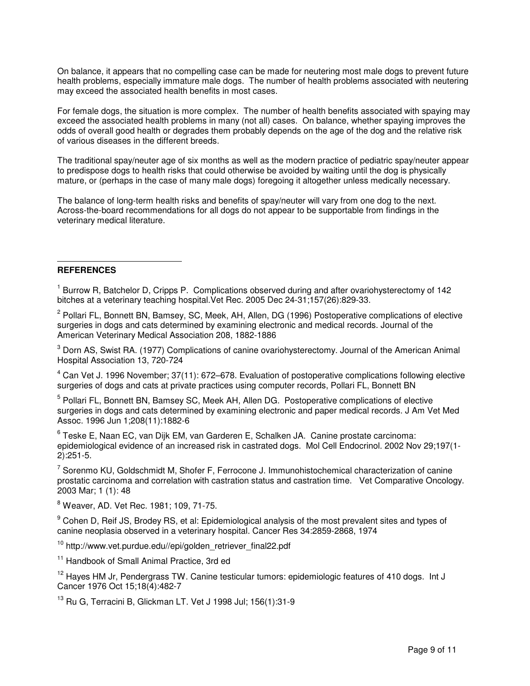On balance, it appears that no compelling case can be made for neutering most male dogs to prevent future health problems, especially immature male dogs. The number of health problems associated with neutering may exceed the associated health benefits in most cases.

For female dogs, the situation is more complex. The number of health benefits associated with spaying may exceed the associated health problems in many (not all) cases. On balance, whether spaying improves the odds of overall good health or degrades them probably depends on the age of the dog and the relative risk of various diseases in the different breeds.

The traditional spay/neuter age of six months as well as the modern practice of pediatric spay/neuter appear to predispose dogs to health risks that could otherwise be avoided by waiting until the dog is physically mature, or (perhaps in the case of many male dogs) foregoing it altogether unless medically necessary.

The balance of long-term health risks and benefits of spay/neuter will vary from one dog to the next. Across-the-board recommendations for all dogs do not appear to be supportable from findings in the veterinary medical literature.

#### $\overline{a}$ **REFERENCES**

<sup>1</sup> Burrow R, Batchelor D, Cripps P. Complications observed during and after ovariohysterectomy of 142 bitches at a veterinary teaching hospital.Vet Rec. 2005 Dec 24-31;157(26):829-33.

<sup>2</sup> Pollari FL, Bonnett BN, Bamsey, SC, Meek, AH, Allen, DG (1996) Postoperative complications of elective surgeries in dogs and cats determined by examining electronic and medical records. Journal of the American Veterinary Medical Association 208, 1882-1886

<sup>3</sup> Dorn AS, Swist RA. (1977) Complications of canine ovariohysterectomy. Journal of the American Animal Hospital Association 13, 720-724

<sup>4</sup> Can Vet J. 1996 November; 37(11): 672–678. Evaluation of postoperative complications following elective surgeries of dogs and cats at private practices using computer records, Pollari FL, Bonnett BN

<sup>5</sup> Pollari FL, Bonnett BN, Bamsey SC, Meek AH, Allen DG. Postoperative complications of elective surgeries in dogs and cats determined by examining electronic and paper medical records. J Am Vet Med Assoc. 1996 Jun 1;208(11):1882-6

<sup>6</sup> Teske E, Naan EC, van Dijk EM, van Garderen E, Schalken JA. Canine prostate carcinoma: epidemiological evidence of an increased risk in castrated dogs. Mol Cell Endocrinol. 2002 Nov 29;197(1- 2):251-5.

 $^7$  Sorenmo KU, Goldschmidt M, Shofer F, Ferrocone J. Immunohistochemical characterization of canine prostatic carcinoma and correlation with castration status and castration time. Vet Comparative Oncology. 2003 Mar; 1 (1): 48

8 Weaver, AD. Vet Rec. 1981; 109, 71-75.

<sup>9</sup> Cohen D, Reif JS, Brodey RS, et al: Epidemiological analysis of the most prevalent sites and types of canine neoplasia observed in a veterinary hospital. Cancer Res 34:2859-2868, 1974

<sup>10</sup> http://www.vet.purdue.edu//epi/golden\_retriever\_final22.pdf

<sup>11</sup> Handbook of Small Animal Practice, 3rd ed

<sup>12</sup> Hayes HM Jr, Pendergrass TW. Canine testicular tumors: epidemiologic features of 410 dogs. Int J Cancer 1976 Oct 15;18(4):482-7

<sup>13</sup> Ru G, Terracini B, Glickman LT. Vet J 1998 Jul; 156(1):31-9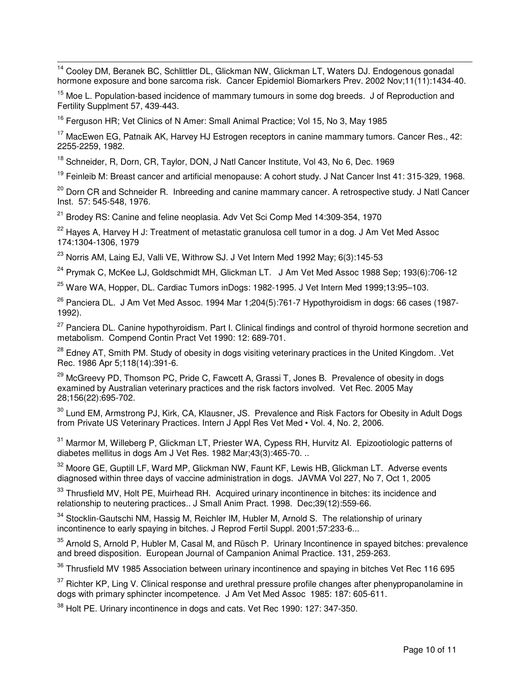$\overline{a}$ <sup>14</sup> Cooley DM, Beranek BC, Schlittler DL, Glickman NW, Glickman LT, Waters DJ. Endogenous gonadal hormone exposure and bone sarcoma risk. Cancer Epidemiol Biomarkers Prev. 2002 Nov;11(11):1434-40.

 $15$  Moe L. Population-based incidence of mammary tumours in some dog breeds. J of Reproduction and Fertility Supplment 57, 439-443.

<sup>16</sup> Ferguson HR: Vet Clinics of N Amer: Small Animal Practice: Vol 15, No 3, May 1985

<sup>17</sup> MacEwen EG, Patnaik AK, Harvey HJ Estrogen receptors in canine mammary tumors. Cancer Res., 42: 2255-2259, 1982.

<sup>18</sup> Schneider, R, Dorn, CR, Taylor, DON, J Natl Cancer Institute, Vol 43, No 6, Dec. 1969

<sup>19</sup> Feinleib M: Breast cancer and artificial menopause: A cohort study. J Nat Cancer Inst 41: 315-329, 1968.

<sup>20</sup> Dorn CR and Schneider R. Inbreeding and canine mammary cancer. A retrospective study. J Natl Cancer Inst. 57: 545-548, 1976.

 $21$  Brodey RS: Canine and feline neoplasia. Adv Vet Sci Comp Med 14:309-354, 1970

<sup>22</sup> Hayes A, Harvey H J: Treatment of metastatic granulosa cell tumor in a dog. J Am Vet Med Assoc 174:1304-1306, 1979

<sup>23</sup> Norris AM, Laing EJ, Valli VE, Withrow SJ. J Vet Intern Med 1992 May; 6(3):145-53

<sup>24</sup> Prymak C, McKee LJ, Goldschmidt MH, Glickman LT. J Am Vet Med Assoc 1988 Sep; 193(6):706-12

 $25$  Ware WA, Hopper, DL, Cardiac Tumors inDogs: 1982-1995, J Vet Intern Med 1999:13:95-103.

 $26$  Panciera DL. J Am Vet Med Assoc. 1994 Mar 1; 204(5): 761-7 Hypothyroidism in dogs: 66 cases (1987-1992).

<sup>27</sup> Panciera DL. Canine hypothyroidism. Part I. Clinical findings and control of thyroid hormone secretion and metabolism. Compend Contin Pract Vet 1990: 12: 689-701.

<sup>28</sup> Edney AT, Smith PM. Study of obesity in dogs visiting veterinary practices in the United Kingdom. .Vet Rec. 1986 Apr 5;118(14):391-6.

<sup>29</sup> McGreevy PD, Thomson PC, Pride C, Fawcett A, Grassi T, Jones B. Prevalence of obesity in dogs examined by Australian veterinary practices and the risk factors involved. Vet Rec. 2005 May 28;156(22):695-702.

<sup>30</sup> Lund EM, Armstrong PJ, Kirk, CA, Klausner, JS. Prevalence and Risk Factors for Obesity in Adult Dogs from Private US Veterinary Practices. Intern J Appl Res Vet Med • Vol. 4, No. 2, 2006.

<sup>31</sup> Marmor M, Willeberg P, Glickman LT, Priester WA, Cypess RH, Hurvitz AI. Epizootiologic patterns of diabetes mellitus in dogs Am J Vet Res. 1982 Mar;43(3):465-70. ..

<sup>32</sup> Moore GE, Guptill LF, Ward MP, Glickman NW, Faunt KF, Lewis HB, Glickman LT. Adverse events diagnosed within three days of vaccine administration in dogs. JAVMA Vol 227, No 7, Oct 1, 2005

<sup>33</sup> Thrusfield MV, Holt PE, Muirhead RH. Acquired urinary incontinence in bitches: its incidence and relationship to neutering practices.. J Small Anim Pract. 1998. Dec;39(12):559-66.

<sup>34</sup> Stocklin-Gautschi NM, Hassig M, Reichler IM, Hubler M, Arnold S. The relationship of urinary incontinence to early spaying in bitches. J Reprod Fertil Suppl. 2001;57:233-6...

<sup>35</sup> Arnold S, Arnold P, Hubler M, Casal M, and Rüsch P. Urinary Incontinence in spayed bitches: prevalence and breed disposition. European Journal of Campanion Animal Practice. 131, 259-263.

<sup>36</sup> Thrusfield MV 1985 Association between urinary incontinence and spaying in bitches Vet Rec 116 695

<sup>37</sup> Richter KP, Ling V. Clinical response and urethral pressure profile changes after phenypropanolamine in dogs with primary sphincter incompetence. J Am Vet Med Assoc 1985: 187: 605-611.

<sup>38</sup> Holt PE. Urinary incontinence in dogs and cats. Vet Rec 1990: 127: 347-350.